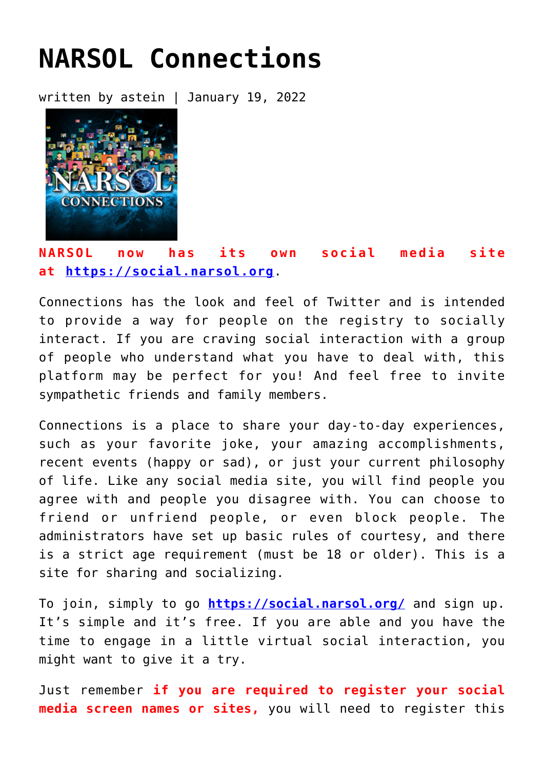## **[NARSOL Connections](https://narsol.org/narsol-connections/)**

written by astein | January 19, 2022



## **NARSOL now has its own social media site at [https://social.narsol.org](https://social.narsol.org/)**.

Connections has the look and feel of Twitter and is intended to provide a way for people on the registry to socially interact. If you are craving social interaction with a group of people who understand what you have to deal with, this platform may be perfect for you! And feel free to invite sympathetic friends and family members.

Connections is a place to share your day-to-day experiences, such as your favorite joke, your amazing accomplishments, recent events (happy or sad), or just your current philosophy of life. Like any social media site, you will find people you agree with and people you disagree with. You can choose to friend or unfriend people, or even block people. The administrators have set up basic rules of courtesy, and there is a strict age requirement (must be 18 or older). This is a site for sharing and socializing.

To join, simply to go **<https://social.narsol.org/>** and sign up. It's simple and it's free. If you are able and you have the time to engage in a little virtual social interaction, you might want to give it a try.

Just remember **if you are required to register your social media screen names or sites,** you will need to register this